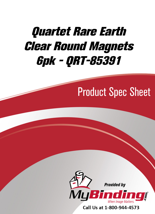# Quartet Rare Earth [Clear Round Magnets](https://www.mybinding.com/quartet-rare-earth-clear-round-magnets-6pk.html)  6pk - QRT-85391

## Product Spec Sheet



Call Us at 1-800-944-4573